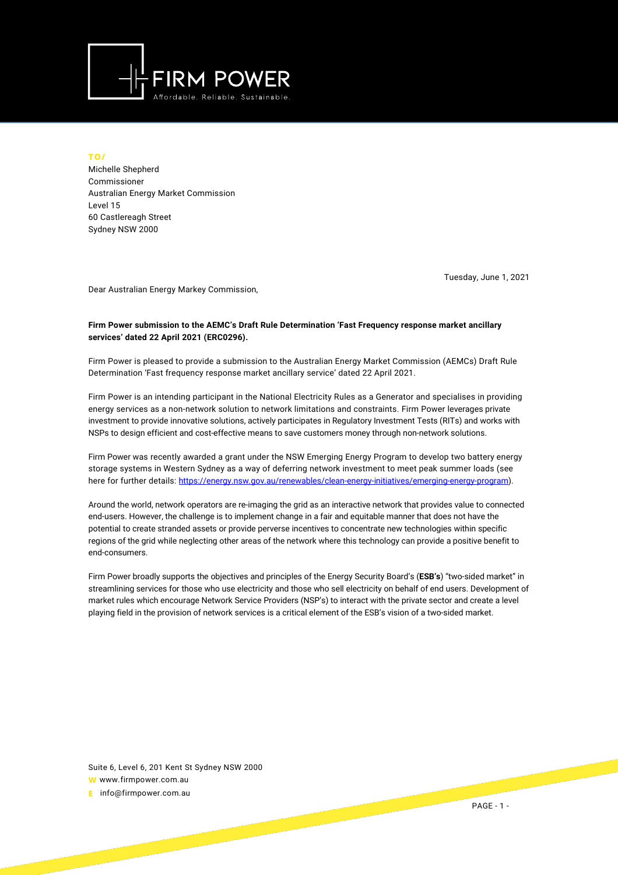

**TO/**

Michelle Shepherd Commissioner Australian Energy Market Commission Level 15 60 Castlereagh Street Sydney NSW 2000

Tuesday, June 1, 2021

Dear Australian Energy Markey Commission,

## **Firm Power submission to the AEMC's Draft Rule Determination 'Fast Frequency response market ancillary services' dated 22 April 2021 (ERC0296).**

Firm Power is pleased to provide a submission to the Australian Energy Market Commission (AEMCs) Draft Rule Determination 'Fast frequency response market ancillary service' dated 22 April 2021.

Firm Power is an intending participant in the National Electricity Rules as a Generator and specialises in providing energy services as a non-network solution to network limitations and constraints. Firm Power leverages private investment to provide innovative solutions, actively participates in Regulatory Investment Tests (RITs) and works with NSPs to design efficient and cost-effective means to save customers money through non-network solutions.

Firm Power was recently awarded a grant under the NSW Emerging Energy Program to develop two battery energy storage systems in Western Sydney as a way of deferring network investment to meet peak summer loads (see here for further details: [https://energy.nsw.gov.au/renewables/clean-energy-initiatives/emerging-energy-program\)](https://energy.nsw.gov.au/renewables/clean-energy-initiatives/emerging-energy-program).

Around the world, network operators are re-imaging the grid as an interactive network that provides value to connected end-users. However, the challenge is to implement change in a fair and equitable manner that does not have the potential to create stranded assets or provide perverse incentives to concentrate new technologies within specific regions of the grid while neglecting other areas of the network where this technology can provide a positive benefit to end-consumers.

Firm Power broadly supports the objectives and principles of the Energy Security Board's (**ESB's**) "two-sided market" in streamlining services for those who use electricity and those who sell electricity on behalf of end users. Development of market rules which encourage Network Service Providers (NSP's) to interact with the private sector and create a level playing field in the provision of network services is a critical element of the ESB's vision of a two-sided market.

Suite 6, Level 6, 201 Kent St Sydney NSW 2000 **W** www.firmpower.com.au **E** info@firmpower.com.au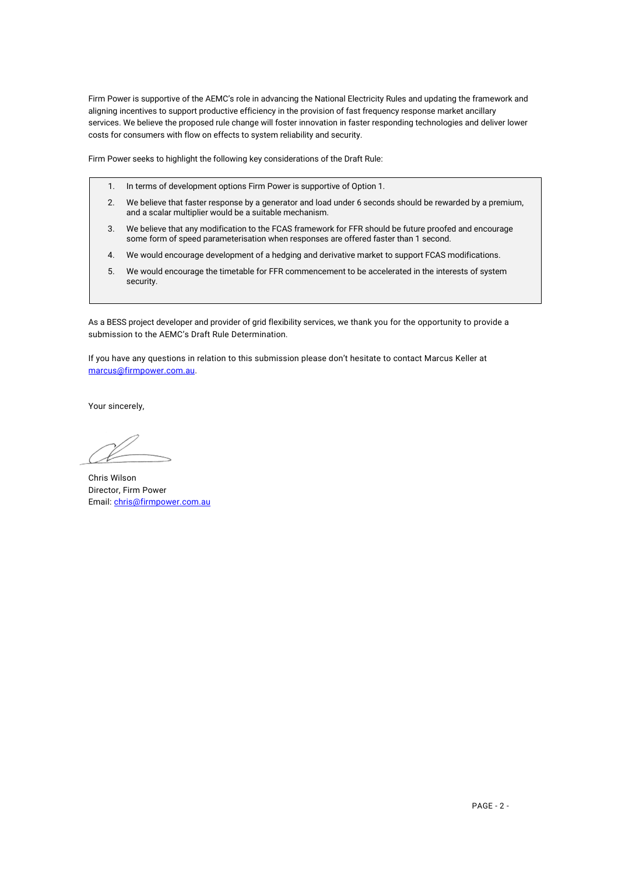Firm Power is supportive of the AEMC's role in advancing the National Electricity Rules and updating the framework and aligning incentives to support productive efficiency in the provision of fast frequency response market ancillary services. We believe the proposed rule change will foster innovation in faster responding technologies and deliver lower costs for consumers with flow on effects to system reliability and security.

Firm Power seeks to highlight the following key considerations of the Draft Rule:

- 1. In terms of development options Firm Power is supportive of Option 1.
- 2. We believe that faster response by a generator and load under 6 seconds should be rewarded by a premium, and a scalar multiplier would be a suitable mechanism.
- 3. We believe that any modification to the FCAS framework for FFR should be future proofed and encourage some form of speed parameterisation when responses are offered faster than 1 second.
- 4. We would encourage development of a hedging and derivative market to support FCAS modifications.
- 5. We would encourage the timetable for FFR commencement to be accelerated in the interests of system security.

As a BESS project developer and provider of grid flexibility services, we thank you for the opportunity to provide a submission to the AEMC's Draft Rule Determination.

If you have any questions in relation to this submission please don't hesitate to contact Marcus Keller at [marcus@firmpower.com.au.](mailto:marcus@firmpower.com.au) 

Your sincerely,

Chris Wilson Director, Firm Power Email: [chris@firmpower.com.au](mailto:chris@firmpower.com.au)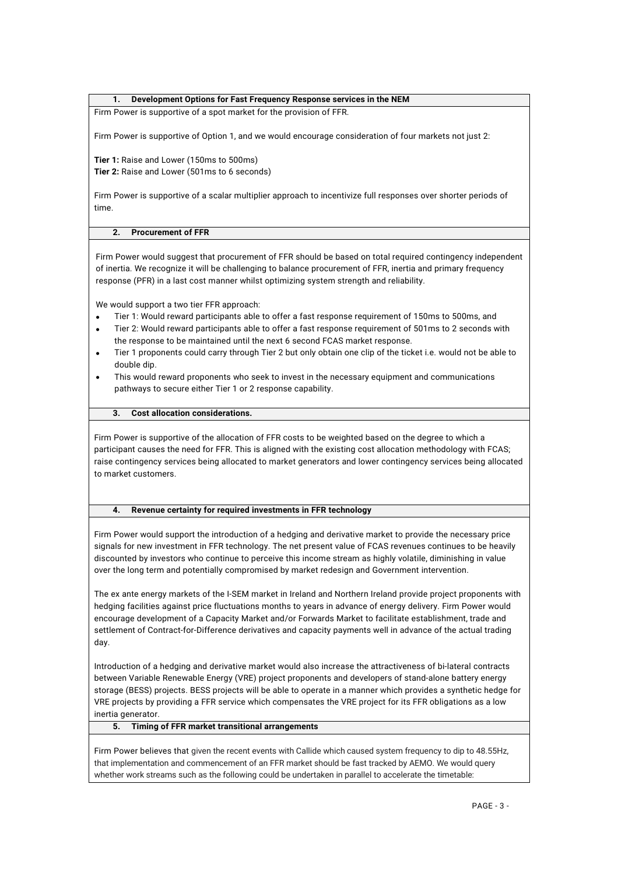## **1. Development Options for Fast Frequency Response services in the NEM**

Firm Power is supportive of a spot market for the provision of FFR.

Firm Power is supportive of Option 1, and we would encourage consideration of four markets not just 2:

**Tier 1:** Raise and Lower (150ms to 500ms) **Tier 2:** Raise and Lower (501ms to 6 seconds)

Firm Power is supportive of a scalar multiplier approach to incentivize full responses over shorter periods of time.

# **2. Procurement of FFR**

Firm Power would suggest that procurement of FFR should be based on total required contingency independent of inertia. We recognize it will be challenging to balance procurement of FFR, inertia and primary frequency response (PFR) in a last cost manner whilst optimizing system strength and reliability.

We would support a two tier FFR approach:

- Tier 1: Would reward participants able to offer a fast response requirement of 150ms to 500ms, and
- Tier 2: Would reward participants able to offer a fast response requirement of 501ms to 2 seconds with the response to be maintained until the next 6 second FCAS market response.
- Tier 1 proponents could carry through Tier 2 but only obtain one clip of the ticket i.e. would not be able to double dip.
- This would reward proponents who seek to invest in the necessary equipment and communications pathways to secure either Tier 1 or 2 response capability.

#### **3. Cost allocation considerations.**

Firm Power is supportive of the allocation of FFR costs to be weighted based on the degree to which a participant causes the need for FFR. This is aligned with the existing cost allocation methodology with FCAS; raise contingency services being allocated to market generators and lower contingency services being allocated to market customers.

## **4. Revenue certainty for required investments in FFR technology**

Firm Power would support the introduction of a hedging and derivative market to provide the necessary price signals for new investment in FFR technology. The net present value of FCAS revenues continues to be heavily discounted by investors who continue to perceive this income stream as highly volatile, diminishing in value over the long term and potentially compromised by market redesign and Government intervention.

The ex ante energy markets of the I-SEM market in Ireland and Northern Ireland provide project proponents with hedging facilities against price fluctuations months to years in advance of energy delivery. Firm Power would encourage development of a Capacity Market and/or Forwards Market to facilitate establishment, trade and settlement of Contract-for-Difference derivatives and capacity payments well in advance of the actual trading day.

Introduction of a hedging and derivative market would also increase the attractiveness of bi-lateral contracts between Variable Renewable Energy (VRE) project proponents and developers of stand-alone battery energy storage (BESS) projects. BESS projects will be able to operate in a manner which provides a synthetic hedge for VRE projects by providing a FFR service which compensates the VRE project for its FFR obligations as a low inertia generator.

## **5. Timing of FFR market transitional arrangements**

Firm Power believes that given the recent events with Callide which caused system frequency to dip to 48.55Hz, that implementation and commencement of an FFR market should be fast tracked by AEMO. We would query whether work streams such as the following could be undertaken in parallel to accelerate the timetable: